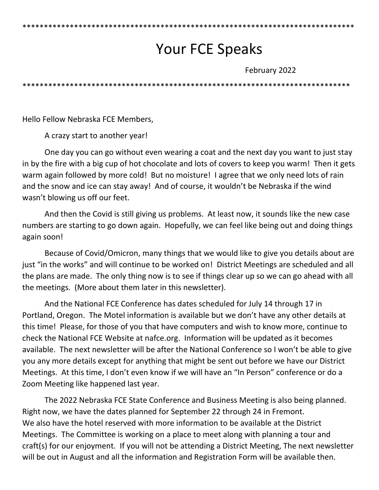# Your FCE Speaks

February 2022

\*\*\*\*\*\*\*\*\*\*\*\*\*\*\*\*\*\*\*\*\*\*\*\*\*\*\*\*\*\*\*\*\*\*\*\*\*\*\*\*\*\*\*\*\*\*\*\*\*\*\*\*\*\*\*\*\*\*\*\*\*\*\*\*\*\*\*\*\*\*\*\*\*\*\*\*

\*\*\*\*\*\*\*\*\*\*\*\*\*\*\*\*\*\*\*\*\*\*\*\*\*\*\*\*\*\*\*\*\*\*\*\*\*\*\*\*\*\*\*\*\*\*\*\*\*\*\*\*\*\*\*\*\*\*\*\*\*\*\*\*\*\*\*\*\*\*\*\*\*\*\*\*\*

Hello Fellow Nebraska FCE Members,

A crazy start to another year!

One day you can go without even wearing a coat and the next day you want to just stay in by the fire with a big cup of hot chocolate and lots of covers to keep you warm! Then it gets warm again followed by more cold! But no moisture! I agree that we only need lots of rain and the snow and ice can stay away! And of course, it wouldn't be Nebraska if the wind wasn't blowing us off our feet.

And then the Covid is still giving us problems. At least now, it sounds like the new case numbers are starting to go down again. Hopefully, we can feel like being out and doing things again soon!

Because of Covid/Omicron, many things that we would like to give you details about are just "in the works" and will continue to be worked on! District Meetings are scheduled and all the plans are made. The only thing now is to see if things clear up so we can go ahead with all the meetings. (More about them later in this newsletter).

And the National FCE Conference has dates scheduled for July 14 through 17 in Portland, Oregon. The Motel information is available but we don't have any other details at this time! Please, for those of you that have computers and wish to know more, continue to check the National FCE Website at nafce.org. Information will be updated as it becomes available. The next newsletter will be after the National Conference so I won't be able to give you any more details except for anything that might be sent out before we have our District Meetings. At this time, I don't even know if we will have an "In Person" conference or do a Zoom Meeting like happened last year.

The 2022 Nebraska FCE State Conference and Business Meeting is also being planned. Right now, we have the dates planned for September 22 through 24 in Fremont. We also have the hotel reserved with more information to be available at the District Meetings. The Committee is working on a place to meet along with planning a tour and craft(s) for our enjoyment. If you will not be attending a District Meeting, The next newsletter will be out in August and all the information and Registration Form will be available then.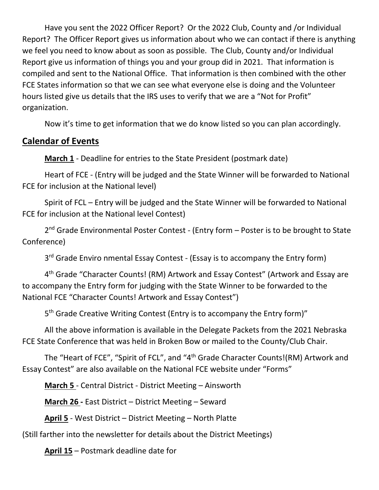Have you sent the 2022 Officer Report? Or the 2022 Club, County and /or Individual Report? The Officer Report gives us information about who we can contact if there is anything we feel you need to know about as soon as possible. The Club, County and/or Individual Report give us information of things you and your group did in 2021. That information is compiled and sent to the National Office. That information is then combined with the other FCE States information so that we can see what everyone else is doing and the Volunteer hours listed give us details that the IRS uses to verify that we are a "Not for Profit" organization.

Now it's time to get information that we do know listed so you can plan accordingly.

## **Calendar of Events**

**March 1** - Deadline for entries to the State President (postmark date)

Heart of FCE - (Entry will be judged and the State Winner will be forwarded to National FCE for inclusion at the National level)

Spirit of FCL – Entry will be judged and the State Winner will be forwarded to National FCE for inclusion at the National level Contest)

2<sup>nd</sup> Grade Environmental Poster Contest - (Entry form – Poster is to be brought to State Conference)

3<sup>rd</sup> Grade Enviro nmental Essay Contest - (Essay is to accompany the Entry form)

4<sup>th</sup> Grade "Character Counts! (RM) Artwork and Essay Contest" (Artwork and Essay are to accompany the Entry form for judging with the State Winner to be forwarded to the National FCE "Character Counts! Artwork and Essay Contest")

5<sup>th</sup> Grade Creative Writing Contest (Entry is to accompany the Entry form)"

All the above information is available in the Delegate Packets from the 2021 Nebraska FCE State Conference that was held in Broken Bow or mailed to the County/Club Chair.

The "Heart of FCE", "Spirit of FCL", and "4th Grade Character Counts!(RM) Artwork and Essay Contest" are also available on the National FCE website under "Forms"

**March 5** - Central District - District Meeting – Ainsworth

**March 26 -** East District – District Meeting – Seward

**April 5** - West District – District Meeting – North Platte

(Still farther into the newsletter for details about the District Meetings)

**April 15** – Postmark deadline date for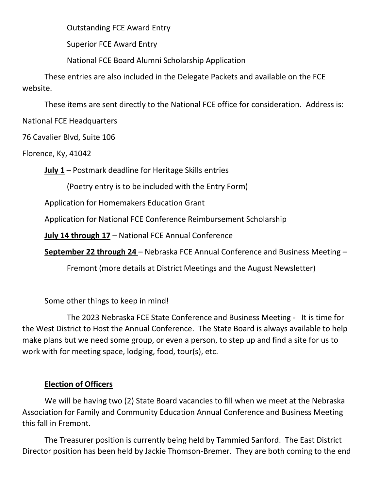Outstanding FCE Award Entry

Superior FCE Award Entry

National FCE Board Alumni Scholarship Application

These entries are also included in the Delegate Packets and available on the FCE website.

These items are sent directly to the National FCE office for consideration. Address is:

National FCE Headquarters

76 Cavalier Blvd, Suite 106

Florence, Ky, 41042

**July 1** – Postmark deadline for Heritage Skills entries

(Poetry entry is to be included with the Entry Form)

Application for Homemakers Education Grant

Application for National FCE Conference Reimbursement Scholarship

**July 14 through 17** – National FCE Annual Conference

**September 22 through 24** – Nebraska FCE Annual Conference and Business Meeting –

Fremont (more details at District Meetings and the August Newsletter)

Some other things to keep in mind!

The 2023 Nebraska FCE State Conference and Business Meeting - It is time for the West District to Host the Annual Conference. The State Board is always available to help make plans but we need some group, or even a person, to step up and find a site for us to work with for meeting space, lodging, food, tour(s), etc.

### **Election of Officers**

We will be having two (2) State Board vacancies to fill when we meet at the Nebraska Association for Family and Community Education Annual Conference and Business Meeting this fall in Fremont.

The Treasurer position is currently being held by Tammied Sanford. The East District Director position has been held by Jackie Thomson-Bremer. They are both coming to the end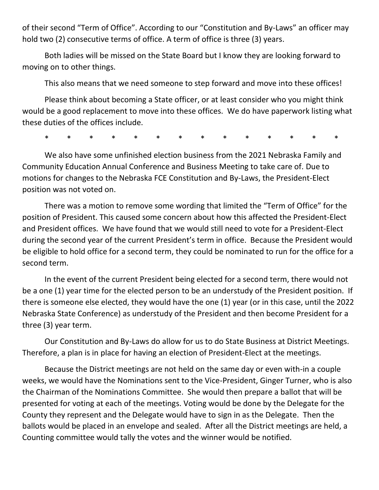of their second "Term of Office". According to our "Constitution and By-Laws" an officer may hold two (2) consecutive terms of office. A term of office is three (3) years.

Both ladies will be missed on the State Board but I know they are looking forward to moving on to other things.

This also means that we need someone to step forward and move into these offices!

Please think about becoming a State officer, or at least consider who you might think would be a good replacement to move into these offices. We do have paperwork listing what these duties of the offices include.

\* \* \* \* \* \* \* \* \* \* \* \* \* \*

We also have some unfinished election business from the 2021 Nebraska Family and Community Education Annual Conference and Business Meeting to take care of. Due to motions for changes to the Nebraska FCE Constitution and By-Laws, the President-Elect position was not voted on.

There was a motion to remove some wording that limited the "Term of Office" for the position of President. This caused some concern about how this affected the President-Elect and President offices. We have found that we would still need to vote for a President-Elect during the second year of the current President's term in office. Because the President would be eligible to hold office for a second term, they could be nominated to run for the office for a second term.

In the event of the current President being elected for a second term, there would not be a one (1) year time for the elected person to be an understudy of the President position. If there is someone else elected, they would have the one (1) year (or in this case, until the 2022 Nebraska State Conference) as understudy of the President and then become President for a three (3) year term.

Our Constitution and By-Laws do allow for us to do State Business at District Meetings. Therefore, a plan is in place for having an election of President-Elect at the meetings.

Because the District meetings are not held on the same day or even with-in a couple weeks, we would have the Nominations sent to the Vice-President, Ginger Turner, who is also the Chairman of the Nominations Committee. She would then prepare a ballot that will be presented for voting at each of the meetings. Voting would be done by the Delegate for the County they represent and the Delegate would have to sign in as the Delegate. Then the ballots would be placed in an envelope and sealed. After all the District meetings are held, a Counting committee would tally the votes and the winner would be notified.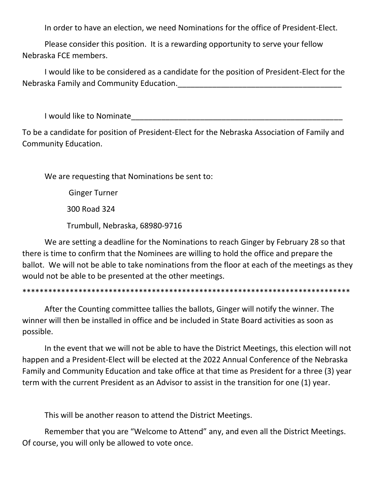In order to have an election, we need Nominations for the office of President-Elect.

Please consider this position. It is a rewarding opportunity to serve your fellow Nebraska FCE members.

I would like to be considered as a candidate for the position of President-Elect for the Nebraska Family and Community Education.

I would like to Nominate

To be a candidate for position of President-Elect for the Nebraska Association of Family and Community Education.

We are requesting that Nominations be sent to:

Ginger Turner

300 Road 324

Trumbull, Nebraska, 68980-9716

We are setting a deadline for the Nominations to reach Ginger by February 28 so that there is time to confirm that the Nominees are willing to hold the office and prepare the ballot. We will not be able to take nominations from the floor at each of the meetings as they would not be able to be presented at the other meetings.

\*\*\*\*\*\*\*\*\*\*\*\*\*\*\*\*\*\*\*\*\*\*\*\*\*\*\*\*\*\*\*\*\*\*\*\*\*\*\*\*\*\*\*\*\*\*\*\*\*\*\*\*\*\*\*\*\*\*\*\*\*\*\*\*\*\*\*\*\*\*\*\*\*\*\*\*

After the Counting committee tallies the ballots, Ginger will notify the winner. The winner will then be installed in office and be included in State Board activities as soon as possible.

In the event that we will not be able to have the District Meetings, this election will not happen and a President-Elect will be elected at the 2022 Annual Conference of the Nebraska Family and Community Education and take office at that time as President for a three (3) year term with the current President as an Advisor to assist in the transition for one (1) year.

This will be another reason to attend the District Meetings.

Remember that you are "Welcome to Attend" any, and even all the District Meetings. Of course, you will only be allowed to vote once.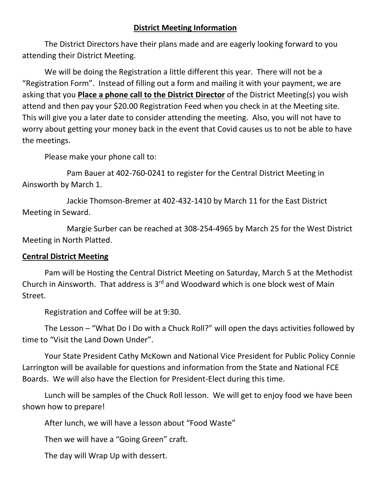#### **District Meeting Information**

The District Directors have their plans made and are eagerly looking forward to you attending their District Meeting.

We will be doing the Registration a little different this year. There will not be a "Registration Form". Instead of filling out a form and mailing it with your payment, we are asking that you **Place a phone call to the District Director** of the District Meeting(s) you wish attend and then pay your \$20.00 Registration Feed when you check in at the Meeting site. This will give you a later date to consider attending the meeting. Also, you will not have to worry about getting your money back in the event that Covid causes us to not be able to have the meetings.

Please make your phone call to:

Pam Bauer at 402-760-0241 to register for the Central District Meeting in Ainsworth by March 1.

Jackie Thomson-Bremer at 402-432-1410 by March 11 for the East District Meeting in Seward.

Margie Surber can be reached at 308-254-4965 by March 25 for the West District Meeting in North Platted.

#### **Central District Meeting**

Pam will be Hosting the Central District Meeting on Saturday, March 5 at the Methodist Church in Ainsworth. That address is  $3<sup>rd</sup>$  and Woodward which is one block west of Main Street.

Registration and Coffee will be at 9:30.

The Lesson – "What Do I Do with a Chuck Roll?" will open the days activities followed by time to "Visit the Land Down Under".

Your State President Cathy McKown and National Vice President for Public Policy Connie Larrington will be available for questions and information from the State and National FCE Boards. We will also have the Election for President-Elect during this time.

Lunch will be samples of the Chuck Roll lesson. We will get to enjoy food we have been shown how to prepare!

After lunch, we will have a lesson about "Food Waste"

Then we will have a "Going Green" craft.

The day will Wrap Up with dessert.